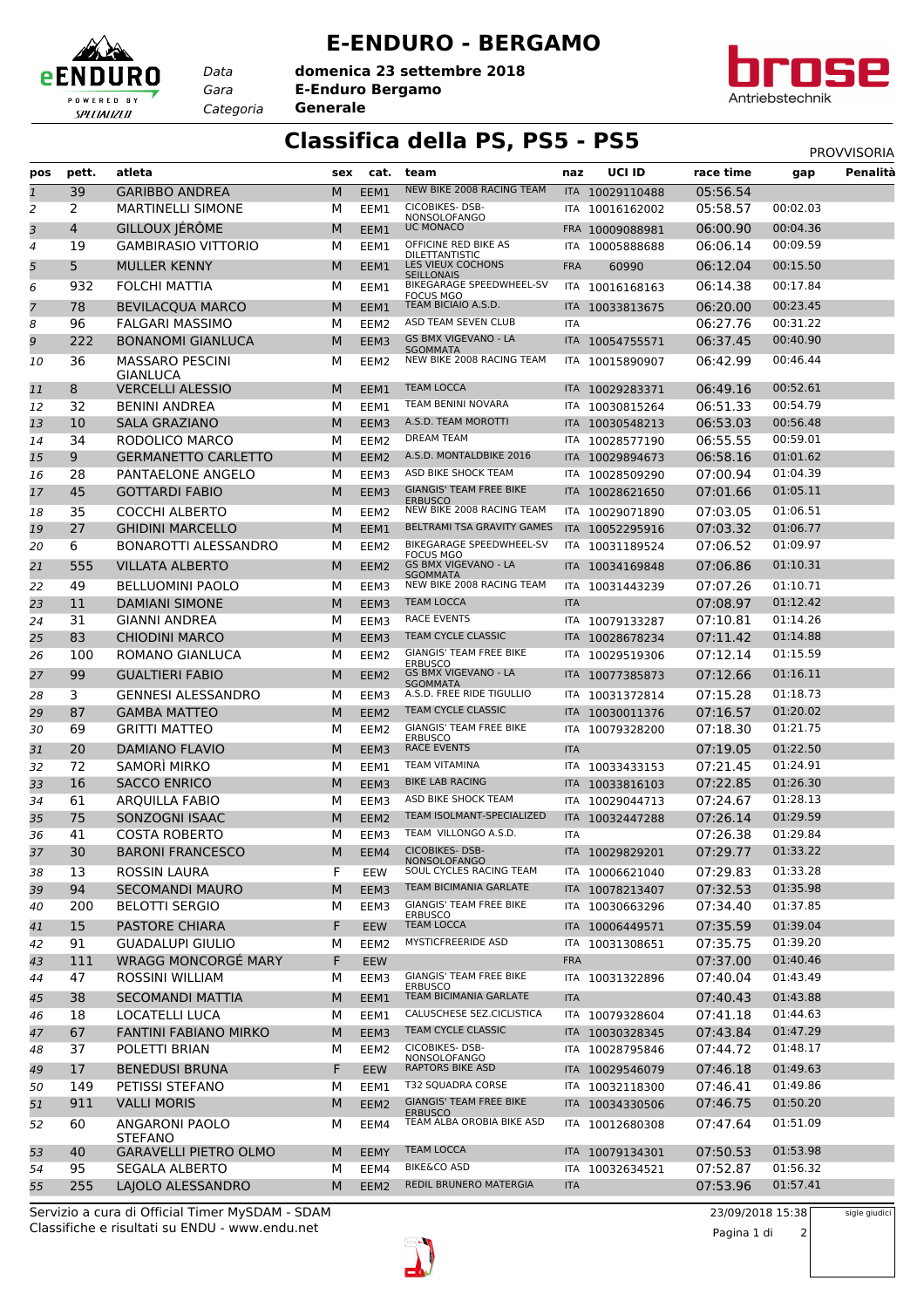## **E-ENDURO - BERGAMO**

*Gara* **E-Enduro Bergamo** *Categoria* **Generale domenica 23 settembre 2018**

*Data*

eENDURO

POWERED BY SPECIALIZED



## **Classifica della PS, PS5 - PS5** PS5 PROVVISORIA

| NEW BIKE 2008 RACING TEAM<br>39<br><b>GARIBBO ANDREA</b><br>M<br>05:56.54<br>$\mathbf{1}$<br>EEM1<br>ITA 10029110488<br>CICOBIKES-DSB-<br>2<br><b>MARTINELLI SIMONE</b><br>05:58.57<br>00:02.03<br>2<br>м<br>EEM1<br>ITA<br>10016162002<br>NONSOLOFANGO<br>GILLOUX JÉRÔME<br><b>UC MONACO</b><br>00:04.36<br>3<br>06:00.90<br>4<br>M<br>EEM1<br>FRA 10009088981<br>OFFICINE RED BIKE AS<br>00:09.59<br>19<br><b>GAMBIRASIO VITTORIO</b><br>м<br>06:06.14<br>4<br>EEM1<br>ITA<br>10005888688<br><b>DILETTANTISTIC</b><br>LES VIEUX COCHONS<br>5<br>00:15.50<br>5<br><b>MULLER KENNY</b><br>M<br>EEM1<br>06:12.04<br><b>FRA</b><br>60990<br><b>SEILLONAIS</b><br>00:17.84<br>BIKEGARAGE SPEEDWHEEL-SV<br>932<br><b>FOLCHI MATTIA</b><br>06:14.38<br>6<br>м<br>EEM1<br>ITA 10016168163<br><b>FOCUS MGO</b><br>TEAM BICIAIO A.S.D.<br>00:23.45<br>78<br><b>BEVILACQUA MARCO</b><br>06:20.00<br>$\overline{7}$<br>M<br>EEM1<br>10033813675<br>ITA I<br>ASD TEAM SEVEN CLUB<br>00:31.22<br>96<br>06:27.76<br>8<br>FALGARI MASSIMO<br>м<br>EEM <sub>2</sub><br>ITA<br>GS BMX VIGEVANO - LA<br>222<br>06:37.45<br>00:40.90<br>9<br><b>BONANOMI GIANLUCA</b><br>М<br>EEM3<br>10054755571<br>ITA I<br><b>SGOMMATA</b><br><b>MASSARO PESCINI</b><br>NEW BIKE 2008 RACING TEAM<br>36<br>06:42.99<br>00:46.44<br>М<br>10<br>EEM2<br>10015890907<br>ITA<br><b>GIANLUCA</b><br><b>TEAM LOCCA</b><br>00:52.61<br>8<br><b>VERCELLI ALESSIO</b><br>M<br>06:49.16<br>EEM1<br>ITA 10029283371<br>11<br>TEAM BENINI NOVARA<br>00:54.79<br>32<br><b>BENINI ANDREA</b><br>06:51.33<br>м<br>12<br>EEM1<br>ITA<br>10030815264<br>00:56.48<br>A.S.D. TEAM MOROTTI<br>06:53.03<br>10<br><b>SALA GRAZIANO</b><br>M<br>13<br>EEM3<br><b>ITA</b><br>10030548213<br>DREAM TEAM<br>06:55.55<br>00:59.01<br>34<br>RODOLICO MARCO<br>м<br>14<br>EEM2<br>10028577190<br>ITA<br>A.S.D. MONTALDBIKE 2016<br>9<br><b>GERMANETTO CARLETTO</b><br>M<br>06:58.16<br>01:01.62<br>15<br>EEM <sub>2</sub><br><b>ITA</b><br>10029894673<br>ASD BIKE SHOCK TEAM<br>28<br>PANTAELONE ANGELO<br>01:04.39<br>м<br>07:00.94<br>EEM3<br>10028509290<br>16<br>ITA<br><b>GIANGIS' TEAM FREE BIKE</b><br>45<br><b>GOTTARDI FABIO</b><br>М<br>07:01.66<br>01:05.11<br>EEM3<br>17<br>ITA 10028621650<br><b>ERBUSCO</b><br>01:06.51<br>35<br><b>COCCHI ALBERTO</b><br>NEW BIKE 2008 RACING TEAM<br>07:03.05<br>м<br>EEM <sub>2</sub><br>ITA 10029071890<br>18<br>BELTRAMI TSA GRAVITY GAMES<br>27<br><b>GHIDINI MARCELLO</b><br>M<br>07:03.32<br>01:06.77<br>EEM1<br>ITA 10052295916<br>19<br>BIKEGARAGE SPEEDWHEEL-SV<br>6<br>01:09.97<br>07:06.52<br>BONAROTTI ALESSANDRO<br>м<br>20<br>EEM2<br>ITA 10031189524<br><b>FOCUS MGO</b><br>GS BMX VIGEVANO - LA<br>555<br><b>VILLATA ALBERTO</b><br>07:06.86<br>01:10.31<br>M<br>21<br>EEM <sub>2</sub><br>ITA 10034169848<br>SGOMMATA<br>01:10.71<br>49<br><b>BELLUOMINI PAOLO</b><br>NEW BIKE 2008 RACING TEAM<br>07:07.26<br>22<br>м<br>EEM3<br>ITA<br>10031443239<br>11<br><b>TEAM LOCCA</b><br>01:12.42<br><b>DAMIANI SIMONE</b><br>M<br>07:08.97<br>23<br>EEM3<br><b>ITA</b><br><b>RACE EVENTS</b><br>07:10.81<br>01:14.26<br>31<br><b>GIANNI ANDREA</b><br>м<br>24<br>EEM3<br>ITA<br>10079133287<br>01:14.88<br>83<br>TEAM CYCLE CLASSIC<br><b>CHIODINI MARCO</b><br>M<br>07:11.42<br>25<br>EEM3<br>10028678234<br><b>ITA</b><br>GIANGIS' TEAM FREE BIKE<br>01:15.59<br>100<br>ROMANO GIANLUCA<br>м<br>07:12.14<br>26<br>EEM2<br>10029519306<br>ITA<br><b>ERBUSCO</b><br><b>GS BMX VIGEVANO - LA</b><br>01:16.11<br><b>GUALTIERI FABIO</b><br>07:12.66<br>99<br>27<br>M<br>EEM <sub>2</sub><br>10077385873<br>ITA.<br><b>SGOMMATA</b><br>A.S.D. FREE RIDE TIGULLIO<br>01:18.73<br>3<br><b>GENNESI ALESSANDRO</b><br>07:15.28<br>М<br>EEM3<br>ITA<br>10031372814<br>28<br>01:20.02<br>TEAM CYCLE CLASSIC<br>87<br><b>GAMBA MATTEO</b><br>M<br>07:16.57<br>29<br>EEM <sub>2</sub><br>10030011376<br><b>ITA</b><br>GIANGIS' TEAM FREE BIKE<br>01:21.75<br><b>GRITTI MATTEO</b><br>07:18.30<br>30<br>69<br>м<br>EEM2<br>ITA<br>10079328200<br><b>ERBUSCO</b><br>01:22.50<br>RACE EVENTS<br>20<br><b>DAMIANO FLAVIO</b><br>M<br>07:19.05<br>EEM3<br>31<br><b>ITA</b><br>SAMORÌ MIRKO<br><b>TEAM VITAMINA</b><br>01:24.91<br>72<br>м<br>07:21.45<br>32<br>EEM1<br>ITA 10033433153<br>01:26.30<br><b>BIKE LAB RACING</b><br>07:22.85<br>16<br><b>SACCO ENRICO</b><br>M<br>33<br>EEM3<br><b>ITA</b><br>10033816103<br>ASD BIKE SHOCK TEAM<br>07:24.67<br>01:28.13<br>61<br><b>ARQUILLA FABIO</b><br>м<br>EEM3<br>34<br>ITA 10029044713<br>TEAM ISOLMANT-SPECIALIZED<br>75<br>01:29.59<br>SONZOGNI ISAAC<br>M<br>07:26.14<br>EEM2<br>35<br>ITA 10032447288<br>TEAM VILLONGO A.S.D.<br>01:29.84<br>41<br><b>COSTA ROBERTO</b><br>М<br><b>ITA</b><br>07:26.38<br>EEM3<br>36<br>CICOBIKES-DSB-<br>01:33.22<br>30<br>М<br>07:29.77<br>37<br><b>BARONI FRANCESCO</b><br>EEM4<br>ITA 10029829201<br><b>NONSOLOFANGO</b><br>SOUL CYCLES RACING TEAM<br>01:33.28<br>F<br><b>ROSSIN LAURA</b><br>07:29.83<br>13<br><b>EEW</b><br>ITA 10006621040<br>38<br>TEAM BICIMANIA GARLATE<br>01:35.98<br>94<br><b>SECOMANDI MAURO</b><br>ITA 10078213407<br>07:32.53<br>39<br>М<br>EEM3<br><b>GIANGIS' TEAM FREE BIKE</b><br>01:37.85<br>200<br>07:34.40<br><b>BELOTTI SERGIO</b><br>м<br>EEM3<br>ITA 10030663296<br>40<br><b>ERBUSCO</b><br><b>TEAM LOCCA</b><br>01:39.04<br>15<br><b>PASTORE CHIARA</b><br>07:35.59<br>F<br>10006449571<br><b>EEW</b><br>41<br><b>ITA</b><br>MYSTICFREERIDE ASD<br>01:39.20<br>91<br><b>GUADALUPI GIULIO</b><br>07:35.75<br>42<br>м<br>ITA 10031308651<br>EEM2<br>01:40.46<br>111<br><b>WRAGG MONCORGE MARY</b><br>F<br><b>FRA</b><br>07:37.00<br>43<br><b>EEW</b><br><b>GIANGIS' TEAM FREE BIKE</b><br>01:43.49<br>47<br><b>ROSSINI WILLIAM</b><br>м<br>07:40.04<br>EEM3<br>ITA 10031322896<br>44<br><b>ERBUSCO</b><br>TEAM BICIMANIA GARLATE<br>01:43.88<br>38<br><b>SECOMANDI MATTIA</b><br><b>ITA</b><br>07:40.43<br>45<br>M<br>EEM1<br>CALUSCHESE SEZ.CICLISTICA<br>18<br><b>LOCATELLI LUCA</b><br>01:44.63<br>ITA 10079328604<br>07:41.18<br>м<br>EEM1<br>46<br>TEAM CYCLE CLASSIC<br>67<br>01:47.29<br><b>FANTINI FABIANO MIRKO</b><br>07:43.84<br>М<br>EEM3<br>ITA 10030328345<br>47<br>CICOBIKES-DSB-<br>01:48.17<br>37<br>POLETTI BRIAN<br>07:44.72<br>м<br>EEM2<br>ITA 10028795846<br>48<br>NONSOLOFANGO<br>RAPTORS BIKE ASD<br>17<br>F<br>01:49.63<br><b>BENEDUSI BRUNA</b><br>07:46.18<br>ITA 10029546079<br>49<br>EEW<br>T32 SQUADRA CORSE<br>01:49.86<br>149<br>PETISSI STEFANO<br>ITA 10032118300<br>07:46.41<br>М<br>EEM1<br>50<br><b>GIANGIS' TEAM FREE BIKE</b><br>911<br><b>VALLI MORIS</b><br>07:46.75<br>01:50.20<br>51<br>М<br>EEM2<br>ITA 10034330506<br><b>ERBUSCO</b><br>TEAM ALBA OROBIA BIKE ASD<br>01:51.09<br>60<br>ANGARONI PAOLO<br>07:47.64<br>м<br>EEM4<br>ITA 10012680308<br>52<br><b>STEFANO</b><br><b>TEAM LOCCA</b><br>01:53.98<br>40<br><b>GARAVELLI PIETRO OLMO</b><br>07:50.53<br>53<br>M<br>10079134301<br><b>EEMY</b><br>ITA I<br><b>BIKE&amp;CO ASD</b><br>95<br><b>SEGALA ALBERTO</b><br>07:52.87<br>01:56.32<br>54<br>м<br>EEM4<br>10032634521<br>ITA<br>REDIL BRUNERO MATERGIA<br>01:57.41<br>255<br>LAJOLO ALESSANDRO<br>07:53.96<br>М<br><b>ITA</b><br>55<br>EEM2 | pos | pett. | atleta | sex | cat. | team | naz | UCI ID | race time | gap | Penalità |
|-----------------------------------------------------------------------------------------------------------------------------------------------------------------------------------------------------------------------------------------------------------------------------------------------------------------------------------------------------------------------------------------------------------------------------------------------------------------------------------------------------------------------------------------------------------------------------------------------------------------------------------------------------------------------------------------------------------------------------------------------------------------------------------------------------------------------------------------------------------------------------------------------------------------------------------------------------------------------------------------------------------------------------------------------------------------------------------------------------------------------------------------------------------------------------------------------------------------------------------------------------------------------------------------------------------------------------------------------------------------------------------------------------------------------------------------------------------------------------------------------------------------------------------------------------------------------------------------------------------------------------------------------------------------------------------------------------------------------------------------------------------------------------------------------------------------------------------------------------------------------------------------------------------------------------------------------------------------------------------------------------------------------------------------------------------------------------------------------------------------------------------------------------------------------------------------------------------------------------------------------------------------------------------------------------------------------------------------------------------------------------------------------------------------------------------------------------------------------------------------------------------------------------------------------------------------------------------------------------------------------------------------------------------------------------------------------------------------------------------------------------------------------------------------------------------------------------------------------------------------------------------------------------------------------------------------------------------------------------------------------------------------------------------------------------------------------------------------------------------------------------------------------------------------------------------------------------------------------------------------------------------------------------------------------------------------------------------------------------------------------------------------------------------------------------------------------------------------------------------------------------------------------------------------------------------------------------------------------------------------------------------------------------------------------------------------------------------------------------------------------------------------------------------------------------------------------------------------------------------------------------------------------------------------------------------------------------------------------------------------------------------------------------------------------------------------------------------------------------------------------------------------------------------------------------------------------------------------------------------------------------------------------------------------------------------------------------------------------------------------------------------------------------------------------------------------------------------------------------------------------------------------------------------------------------------------------------------------------------------------------------------------------------------------------------------------------------------------------------------------------------------------------------------------------------------------------------------------------------------------------------------------------------------------------------------------------------------------------------------------------------------------------------------------------------------------------------------------------------------------------------------------------------------------------------------------------------------------------------------------------------------------------------------------------------------------------------------------------------------------------------------------------------------------------------------------------------------------------------------------------------------------------------------------------------------------------------------------------------------------------------------------------------------------------------------------------------------------------------------------------------------------------------------------------------------------------------------------------------------------------------------------------------------------------------------------------------------------------------------------------------------------------------------------------------------------------------------------------------------------------------------------------------------------------------------------------------------------------------------------------------------------------------------------------------------------------------------------------------------------------------------------------------------------------------------------------------------------------------------------------------------------------------------------------------------------------------------------------------------------------------------------------------------------------------------------------------------------------------------------------------------------------------------------------------------------------------------------------------------------------------------------------------------------------------------------------------------------------------------------------------------------------------------------------------------------------------------------------------------------------------------------------------------------------------------------------------------------------|-----|-------|--------|-----|------|------|-----|--------|-----------|-----|----------|
|                                                                                                                                                                                                                                                                                                                                                                                                                                                                                                                                                                                                                                                                                                                                                                                                                                                                                                                                                                                                                                                                                                                                                                                                                                                                                                                                                                                                                                                                                                                                                                                                                                                                                                                                                                                                                                                                                                                                                                                                                                                                                                                                                                                                                                                                                                                                                                                                                                                                                                                                                                                                                                                                                                                                                                                                                                                                                                                                                                                                                                                                                                                                                                                                                                                                                                                                                                                                                                                                                                                                                                                                                                                                                                                                                                                                                                                                                                                                                                                                                                                                                                                                                                                                                                                                                                                                                                                                                                                                                                                                                                                                                                                                                                                                                                                                                                                                                                                                                                                                                                                                                                                                                                                                                                                                                                                                                                                                                                                                                                                                                                                                                                                                                                                                                                                                                                                                                                                                                                                                                                                                                                                                                                                                                                                                                                                                                                                                                                                                                                                                                                                                                                                                                                                                                                                                                                                                                                                                                                                                                                                                                                                                                                                                                       |     |       |        |     |      |      |     |        |           |     |          |
|                                                                                                                                                                                                                                                                                                                                                                                                                                                                                                                                                                                                                                                                                                                                                                                                                                                                                                                                                                                                                                                                                                                                                                                                                                                                                                                                                                                                                                                                                                                                                                                                                                                                                                                                                                                                                                                                                                                                                                                                                                                                                                                                                                                                                                                                                                                                                                                                                                                                                                                                                                                                                                                                                                                                                                                                                                                                                                                                                                                                                                                                                                                                                                                                                                                                                                                                                                                                                                                                                                                                                                                                                                                                                                                                                                                                                                                                                                                                                                                                                                                                                                                                                                                                                                                                                                                                                                                                                                                                                                                                                                                                                                                                                                                                                                                                                                                                                                                                                                                                                                                                                                                                                                                                                                                                                                                                                                                                                                                                                                                                                                                                                                                                                                                                                                                                                                                                                                                                                                                                                                                                                                                                                                                                                                                                                                                                                                                                                                                                                                                                                                                                                                                                                                                                                                                                                                                                                                                                                                                                                                                                                                                                                                                                                       |     |       |        |     |      |      |     |        |           |     |          |
|                                                                                                                                                                                                                                                                                                                                                                                                                                                                                                                                                                                                                                                                                                                                                                                                                                                                                                                                                                                                                                                                                                                                                                                                                                                                                                                                                                                                                                                                                                                                                                                                                                                                                                                                                                                                                                                                                                                                                                                                                                                                                                                                                                                                                                                                                                                                                                                                                                                                                                                                                                                                                                                                                                                                                                                                                                                                                                                                                                                                                                                                                                                                                                                                                                                                                                                                                                                                                                                                                                                                                                                                                                                                                                                                                                                                                                                                                                                                                                                                                                                                                                                                                                                                                                                                                                                                                                                                                                                                                                                                                                                                                                                                                                                                                                                                                                                                                                                                                                                                                                                                                                                                                                                                                                                                                                                                                                                                                                                                                                                                                                                                                                                                                                                                                                                                                                                                                                                                                                                                                                                                                                                                                                                                                                                                                                                                                                                                                                                                                                                                                                                                                                                                                                                                                                                                                                                                                                                                                                                                                                                                                                                                                                                                                       |     |       |        |     |      |      |     |        |           |     |          |
|                                                                                                                                                                                                                                                                                                                                                                                                                                                                                                                                                                                                                                                                                                                                                                                                                                                                                                                                                                                                                                                                                                                                                                                                                                                                                                                                                                                                                                                                                                                                                                                                                                                                                                                                                                                                                                                                                                                                                                                                                                                                                                                                                                                                                                                                                                                                                                                                                                                                                                                                                                                                                                                                                                                                                                                                                                                                                                                                                                                                                                                                                                                                                                                                                                                                                                                                                                                                                                                                                                                                                                                                                                                                                                                                                                                                                                                                                                                                                                                                                                                                                                                                                                                                                                                                                                                                                                                                                                                                                                                                                                                                                                                                                                                                                                                                                                                                                                                                                                                                                                                                                                                                                                                                                                                                                                                                                                                                                                                                                                                                                                                                                                                                                                                                                                                                                                                                                                                                                                                                                                                                                                                                                                                                                                                                                                                                                                                                                                                                                                                                                                                                                                                                                                                                                                                                                                                                                                                                                                                                                                                                                                                                                                                                                       |     |       |        |     |      |      |     |        |           |     |          |
|                                                                                                                                                                                                                                                                                                                                                                                                                                                                                                                                                                                                                                                                                                                                                                                                                                                                                                                                                                                                                                                                                                                                                                                                                                                                                                                                                                                                                                                                                                                                                                                                                                                                                                                                                                                                                                                                                                                                                                                                                                                                                                                                                                                                                                                                                                                                                                                                                                                                                                                                                                                                                                                                                                                                                                                                                                                                                                                                                                                                                                                                                                                                                                                                                                                                                                                                                                                                                                                                                                                                                                                                                                                                                                                                                                                                                                                                                                                                                                                                                                                                                                                                                                                                                                                                                                                                                                                                                                                                                                                                                                                                                                                                                                                                                                                                                                                                                                                                                                                                                                                                                                                                                                                                                                                                                                                                                                                                                                                                                                                                                                                                                                                                                                                                                                                                                                                                                                                                                                                                                                                                                                                                                                                                                                                                                                                                                                                                                                                                                                                                                                                                                                                                                                                                                                                                                                                                                                                                                                                                                                                                                                                                                                                                                       |     |       |        |     |      |      |     |        |           |     |          |
|                                                                                                                                                                                                                                                                                                                                                                                                                                                                                                                                                                                                                                                                                                                                                                                                                                                                                                                                                                                                                                                                                                                                                                                                                                                                                                                                                                                                                                                                                                                                                                                                                                                                                                                                                                                                                                                                                                                                                                                                                                                                                                                                                                                                                                                                                                                                                                                                                                                                                                                                                                                                                                                                                                                                                                                                                                                                                                                                                                                                                                                                                                                                                                                                                                                                                                                                                                                                                                                                                                                                                                                                                                                                                                                                                                                                                                                                                                                                                                                                                                                                                                                                                                                                                                                                                                                                                                                                                                                                                                                                                                                                                                                                                                                                                                                                                                                                                                                                                                                                                                                                                                                                                                                                                                                                                                                                                                                                                                                                                                                                                                                                                                                                                                                                                                                                                                                                                                                                                                                                                                                                                                                                                                                                                                                                                                                                                                                                                                                                                                                                                                                                                                                                                                                                                                                                                                                                                                                                                                                                                                                                                                                                                                                                                       |     |       |        |     |      |      |     |        |           |     |          |
|                                                                                                                                                                                                                                                                                                                                                                                                                                                                                                                                                                                                                                                                                                                                                                                                                                                                                                                                                                                                                                                                                                                                                                                                                                                                                                                                                                                                                                                                                                                                                                                                                                                                                                                                                                                                                                                                                                                                                                                                                                                                                                                                                                                                                                                                                                                                                                                                                                                                                                                                                                                                                                                                                                                                                                                                                                                                                                                                                                                                                                                                                                                                                                                                                                                                                                                                                                                                                                                                                                                                                                                                                                                                                                                                                                                                                                                                                                                                                                                                                                                                                                                                                                                                                                                                                                                                                                                                                                                                                                                                                                                                                                                                                                                                                                                                                                                                                                                                                                                                                                                                                                                                                                                                                                                                                                                                                                                                                                                                                                                                                                                                                                                                                                                                                                                                                                                                                                                                                                                                                                                                                                                                                                                                                                                                                                                                                                                                                                                                                                                                                                                                                                                                                                                                                                                                                                                                                                                                                                                                                                                                                                                                                                                                                       |     |       |        |     |      |      |     |        |           |     |          |
|                                                                                                                                                                                                                                                                                                                                                                                                                                                                                                                                                                                                                                                                                                                                                                                                                                                                                                                                                                                                                                                                                                                                                                                                                                                                                                                                                                                                                                                                                                                                                                                                                                                                                                                                                                                                                                                                                                                                                                                                                                                                                                                                                                                                                                                                                                                                                                                                                                                                                                                                                                                                                                                                                                                                                                                                                                                                                                                                                                                                                                                                                                                                                                                                                                                                                                                                                                                                                                                                                                                                                                                                                                                                                                                                                                                                                                                                                                                                                                                                                                                                                                                                                                                                                                                                                                                                                                                                                                                                                                                                                                                                                                                                                                                                                                                                                                                                                                                                                                                                                                                                                                                                                                                                                                                                                                                                                                                                                                                                                                                                                                                                                                                                                                                                                                                                                                                                                                                                                                                                                                                                                                                                                                                                                                                                                                                                                                                                                                                                                                                                                                                                                                                                                                                                                                                                                                                                                                                                                                                                                                                                                                                                                                                                                       |     |       |        |     |      |      |     |        |           |     |          |
|                                                                                                                                                                                                                                                                                                                                                                                                                                                                                                                                                                                                                                                                                                                                                                                                                                                                                                                                                                                                                                                                                                                                                                                                                                                                                                                                                                                                                                                                                                                                                                                                                                                                                                                                                                                                                                                                                                                                                                                                                                                                                                                                                                                                                                                                                                                                                                                                                                                                                                                                                                                                                                                                                                                                                                                                                                                                                                                                                                                                                                                                                                                                                                                                                                                                                                                                                                                                                                                                                                                                                                                                                                                                                                                                                                                                                                                                                                                                                                                                                                                                                                                                                                                                                                                                                                                                                                                                                                                                                                                                                                                                                                                                                                                                                                                                                                                                                                                                                                                                                                                                                                                                                                                                                                                                                                                                                                                                                                                                                                                                                                                                                                                                                                                                                                                                                                                                                                                                                                                                                                                                                                                                                                                                                                                                                                                                                                                                                                                                                                                                                                                                                                                                                                                                                                                                                                                                                                                                                                                                                                                                                                                                                                                                                       |     |       |        |     |      |      |     |        |           |     |          |
|                                                                                                                                                                                                                                                                                                                                                                                                                                                                                                                                                                                                                                                                                                                                                                                                                                                                                                                                                                                                                                                                                                                                                                                                                                                                                                                                                                                                                                                                                                                                                                                                                                                                                                                                                                                                                                                                                                                                                                                                                                                                                                                                                                                                                                                                                                                                                                                                                                                                                                                                                                                                                                                                                                                                                                                                                                                                                                                                                                                                                                                                                                                                                                                                                                                                                                                                                                                                                                                                                                                                                                                                                                                                                                                                                                                                                                                                                                                                                                                                                                                                                                                                                                                                                                                                                                                                                                                                                                                                                                                                                                                                                                                                                                                                                                                                                                                                                                                                                                                                                                                                                                                                                                                                                                                                                                                                                                                                                                                                                                                                                                                                                                                                                                                                                                                                                                                                                                                                                                                                                                                                                                                                                                                                                                                                                                                                                                                                                                                                                                                                                                                                                                                                                                                                                                                                                                                                                                                                                                                                                                                                                                                                                                                                                       |     |       |        |     |      |      |     |        |           |     |          |
|                                                                                                                                                                                                                                                                                                                                                                                                                                                                                                                                                                                                                                                                                                                                                                                                                                                                                                                                                                                                                                                                                                                                                                                                                                                                                                                                                                                                                                                                                                                                                                                                                                                                                                                                                                                                                                                                                                                                                                                                                                                                                                                                                                                                                                                                                                                                                                                                                                                                                                                                                                                                                                                                                                                                                                                                                                                                                                                                                                                                                                                                                                                                                                                                                                                                                                                                                                                                                                                                                                                                                                                                                                                                                                                                                                                                                                                                                                                                                                                                                                                                                                                                                                                                                                                                                                                                                                                                                                                                                                                                                                                                                                                                                                                                                                                                                                                                                                                                                                                                                                                                                                                                                                                                                                                                                                                                                                                                                                                                                                                                                                                                                                                                                                                                                                                                                                                                                                                                                                                                                                                                                                                                                                                                                                                                                                                                                                                                                                                                                                                                                                                                                                                                                                                                                                                                                                                                                                                                                                                                                                                                                                                                                                                                                       |     |       |        |     |      |      |     |        |           |     |          |
|                                                                                                                                                                                                                                                                                                                                                                                                                                                                                                                                                                                                                                                                                                                                                                                                                                                                                                                                                                                                                                                                                                                                                                                                                                                                                                                                                                                                                                                                                                                                                                                                                                                                                                                                                                                                                                                                                                                                                                                                                                                                                                                                                                                                                                                                                                                                                                                                                                                                                                                                                                                                                                                                                                                                                                                                                                                                                                                                                                                                                                                                                                                                                                                                                                                                                                                                                                                                                                                                                                                                                                                                                                                                                                                                                                                                                                                                                                                                                                                                                                                                                                                                                                                                                                                                                                                                                                                                                                                                                                                                                                                                                                                                                                                                                                                                                                                                                                                                                                                                                                                                                                                                                                                                                                                                                                                                                                                                                                                                                                                                                                                                                                                                                                                                                                                                                                                                                                                                                                                                                                                                                                                                                                                                                                                                                                                                                                                                                                                                                                                                                                                                                                                                                                                                                                                                                                                                                                                                                                                                                                                                                                                                                                                                                       |     |       |        |     |      |      |     |        |           |     |          |
|                                                                                                                                                                                                                                                                                                                                                                                                                                                                                                                                                                                                                                                                                                                                                                                                                                                                                                                                                                                                                                                                                                                                                                                                                                                                                                                                                                                                                                                                                                                                                                                                                                                                                                                                                                                                                                                                                                                                                                                                                                                                                                                                                                                                                                                                                                                                                                                                                                                                                                                                                                                                                                                                                                                                                                                                                                                                                                                                                                                                                                                                                                                                                                                                                                                                                                                                                                                                                                                                                                                                                                                                                                                                                                                                                                                                                                                                                                                                                                                                                                                                                                                                                                                                                                                                                                                                                                                                                                                                                                                                                                                                                                                                                                                                                                                                                                                                                                                                                                                                                                                                                                                                                                                                                                                                                                                                                                                                                                                                                                                                                                                                                                                                                                                                                                                                                                                                                                                                                                                                                                                                                                                                                                                                                                                                                                                                                                                                                                                                                                                                                                                                                                                                                                                                                                                                                                                                                                                                                                                                                                                                                                                                                                                                                       |     |       |        |     |      |      |     |        |           |     |          |
|                                                                                                                                                                                                                                                                                                                                                                                                                                                                                                                                                                                                                                                                                                                                                                                                                                                                                                                                                                                                                                                                                                                                                                                                                                                                                                                                                                                                                                                                                                                                                                                                                                                                                                                                                                                                                                                                                                                                                                                                                                                                                                                                                                                                                                                                                                                                                                                                                                                                                                                                                                                                                                                                                                                                                                                                                                                                                                                                                                                                                                                                                                                                                                                                                                                                                                                                                                                                                                                                                                                                                                                                                                                                                                                                                                                                                                                                                                                                                                                                                                                                                                                                                                                                                                                                                                                                                                                                                                                                                                                                                                                                                                                                                                                                                                                                                                                                                                                                                                                                                                                                                                                                                                                                                                                                                                                                                                                                                                                                                                                                                                                                                                                                                                                                                                                                                                                                                                                                                                                                                                                                                                                                                                                                                                                                                                                                                                                                                                                                                                                                                                                                                                                                                                                                                                                                                                                                                                                                                                                                                                                                                                                                                                                                                       |     |       |        |     |      |      |     |        |           |     |          |
|                                                                                                                                                                                                                                                                                                                                                                                                                                                                                                                                                                                                                                                                                                                                                                                                                                                                                                                                                                                                                                                                                                                                                                                                                                                                                                                                                                                                                                                                                                                                                                                                                                                                                                                                                                                                                                                                                                                                                                                                                                                                                                                                                                                                                                                                                                                                                                                                                                                                                                                                                                                                                                                                                                                                                                                                                                                                                                                                                                                                                                                                                                                                                                                                                                                                                                                                                                                                                                                                                                                                                                                                                                                                                                                                                                                                                                                                                                                                                                                                                                                                                                                                                                                                                                                                                                                                                                                                                                                                                                                                                                                                                                                                                                                                                                                                                                                                                                                                                                                                                                                                                                                                                                                                                                                                                                                                                                                                                                                                                                                                                                                                                                                                                                                                                                                                                                                                                                                                                                                                                                                                                                                                                                                                                                                                                                                                                                                                                                                                                                                                                                                                                                                                                                                                                                                                                                                                                                                                                                                                                                                                                                                                                                                                                       |     |       |        |     |      |      |     |        |           |     |          |
|                                                                                                                                                                                                                                                                                                                                                                                                                                                                                                                                                                                                                                                                                                                                                                                                                                                                                                                                                                                                                                                                                                                                                                                                                                                                                                                                                                                                                                                                                                                                                                                                                                                                                                                                                                                                                                                                                                                                                                                                                                                                                                                                                                                                                                                                                                                                                                                                                                                                                                                                                                                                                                                                                                                                                                                                                                                                                                                                                                                                                                                                                                                                                                                                                                                                                                                                                                                                                                                                                                                                                                                                                                                                                                                                                                                                                                                                                                                                                                                                                                                                                                                                                                                                                                                                                                                                                                                                                                                                                                                                                                                                                                                                                                                                                                                                                                                                                                                                                                                                                                                                                                                                                                                                                                                                                                                                                                                                                                                                                                                                                                                                                                                                                                                                                                                                                                                                                                                                                                                                                                                                                                                                                                                                                                                                                                                                                                                                                                                                                                                                                                                                                                                                                                                                                                                                                                                                                                                                                                                                                                                                                                                                                                                                                       |     |       |        |     |      |      |     |        |           |     |          |
|                                                                                                                                                                                                                                                                                                                                                                                                                                                                                                                                                                                                                                                                                                                                                                                                                                                                                                                                                                                                                                                                                                                                                                                                                                                                                                                                                                                                                                                                                                                                                                                                                                                                                                                                                                                                                                                                                                                                                                                                                                                                                                                                                                                                                                                                                                                                                                                                                                                                                                                                                                                                                                                                                                                                                                                                                                                                                                                                                                                                                                                                                                                                                                                                                                                                                                                                                                                                                                                                                                                                                                                                                                                                                                                                                                                                                                                                                                                                                                                                                                                                                                                                                                                                                                                                                                                                                                                                                                                                                                                                                                                                                                                                                                                                                                                                                                                                                                                                                                                                                                                                                                                                                                                                                                                                                                                                                                                                                                                                                                                                                                                                                                                                                                                                                                                                                                                                                                                                                                                                                                                                                                                                                                                                                                                                                                                                                                                                                                                                                                                                                                                                                                                                                                                                                                                                                                                                                                                                                                                                                                                                                                                                                                                                                       |     |       |        |     |      |      |     |        |           |     |          |
|                                                                                                                                                                                                                                                                                                                                                                                                                                                                                                                                                                                                                                                                                                                                                                                                                                                                                                                                                                                                                                                                                                                                                                                                                                                                                                                                                                                                                                                                                                                                                                                                                                                                                                                                                                                                                                                                                                                                                                                                                                                                                                                                                                                                                                                                                                                                                                                                                                                                                                                                                                                                                                                                                                                                                                                                                                                                                                                                                                                                                                                                                                                                                                                                                                                                                                                                                                                                                                                                                                                                                                                                                                                                                                                                                                                                                                                                                                                                                                                                                                                                                                                                                                                                                                                                                                                                                                                                                                                                                                                                                                                                                                                                                                                                                                                                                                                                                                                                                                                                                                                                                                                                                                                                                                                                                                                                                                                                                                                                                                                                                                                                                                                                                                                                                                                                                                                                                                                                                                                                                                                                                                                                                                                                                                                                                                                                                                                                                                                                                                                                                                                                                                                                                                                                                                                                                                                                                                                                                                                                                                                                                                                                                                                                                       |     |       |        |     |      |      |     |        |           |     |          |
|                                                                                                                                                                                                                                                                                                                                                                                                                                                                                                                                                                                                                                                                                                                                                                                                                                                                                                                                                                                                                                                                                                                                                                                                                                                                                                                                                                                                                                                                                                                                                                                                                                                                                                                                                                                                                                                                                                                                                                                                                                                                                                                                                                                                                                                                                                                                                                                                                                                                                                                                                                                                                                                                                                                                                                                                                                                                                                                                                                                                                                                                                                                                                                                                                                                                                                                                                                                                                                                                                                                                                                                                                                                                                                                                                                                                                                                                                                                                                                                                                                                                                                                                                                                                                                                                                                                                                                                                                                                                                                                                                                                                                                                                                                                                                                                                                                                                                                                                                                                                                                                                                                                                                                                                                                                                                                                                                                                                                                                                                                                                                                                                                                                                                                                                                                                                                                                                                                                                                                                                                                                                                                                                                                                                                                                                                                                                                                                                                                                                                                                                                                                                                                                                                                                                                                                                                                                                                                                                                                                                                                                                                                                                                                                                                       |     |       |        |     |      |      |     |        |           |     |          |
|                                                                                                                                                                                                                                                                                                                                                                                                                                                                                                                                                                                                                                                                                                                                                                                                                                                                                                                                                                                                                                                                                                                                                                                                                                                                                                                                                                                                                                                                                                                                                                                                                                                                                                                                                                                                                                                                                                                                                                                                                                                                                                                                                                                                                                                                                                                                                                                                                                                                                                                                                                                                                                                                                                                                                                                                                                                                                                                                                                                                                                                                                                                                                                                                                                                                                                                                                                                                                                                                                                                                                                                                                                                                                                                                                                                                                                                                                                                                                                                                                                                                                                                                                                                                                                                                                                                                                                                                                                                                                                                                                                                                                                                                                                                                                                                                                                                                                                                                                                                                                                                                                                                                                                                                                                                                                                                                                                                                                                                                                                                                                                                                                                                                                                                                                                                                                                                                                                                                                                                                                                                                                                                                                                                                                                                                                                                                                                                                                                                                                                                                                                                                                                                                                                                                                                                                                                                                                                                                                                                                                                                                                                                                                                                                                       |     |       |        |     |      |      |     |        |           |     |          |
|                                                                                                                                                                                                                                                                                                                                                                                                                                                                                                                                                                                                                                                                                                                                                                                                                                                                                                                                                                                                                                                                                                                                                                                                                                                                                                                                                                                                                                                                                                                                                                                                                                                                                                                                                                                                                                                                                                                                                                                                                                                                                                                                                                                                                                                                                                                                                                                                                                                                                                                                                                                                                                                                                                                                                                                                                                                                                                                                                                                                                                                                                                                                                                                                                                                                                                                                                                                                                                                                                                                                                                                                                                                                                                                                                                                                                                                                                                                                                                                                                                                                                                                                                                                                                                                                                                                                                                                                                                                                                                                                                                                                                                                                                                                                                                                                                                                                                                                                                                                                                                                                                                                                                                                                                                                                                                                                                                                                                                                                                                                                                                                                                                                                                                                                                                                                                                                                                                                                                                                                                                                                                                                                                                                                                                                                                                                                                                                                                                                                                                                                                                                                                                                                                                                                                                                                                                                                                                                                                                                                                                                                                                                                                                                                                       |     |       |        |     |      |      |     |        |           |     |          |
|                                                                                                                                                                                                                                                                                                                                                                                                                                                                                                                                                                                                                                                                                                                                                                                                                                                                                                                                                                                                                                                                                                                                                                                                                                                                                                                                                                                                                                                                                                                                                                                                                                                                                                                                                                                                                                                                                                                                                                                                                                                                                                                                                                                                                                                                                                                                                                                                                                                                                                                                                                                                                                                                                                                                                                                                                                                                                                                                                                                                                                                                                                                                                                                                                                                                                                                                                                                                                                                                                                                                                                                                                                                                                                                                                                                                                                                                                                                                                                                                                                                                                                                                                                                                                                                                                                                                                                                                                                                                                                                                                                                                                                                                                                                                                                                                                                                                                                                                                                                                                                                                                                                                                                                                                                                                                                                                                                                                                                                                                                                                                                                                                                                                                                                                                                                                                                                                                                                                                                                                                                                                                                                                                                                                                                                                                                                                                                                                                                                                                                                                                                                                                                                                                                                                                                                                                                                                                                                                                                                                                                                                                                                                                                                                                       |     |       |        |     |      |      |     |        |           |     |          |
|                                                                                                                                                                                                                                                                                                                                                                                                                                                                                                                                                                                                                                                                                                                                                                                                                                                                                                                                                                                                                                                                                                                                                                                                                                                                                                                                                                                                                                                                                                                                                                                                                                                                                                                                                                                                                                                                                                                                                                                                                                                                                                                                                                                                                                                                                                                                                                                                                                                                                                                                                                                                                                                                                                                                                                                                                                                                                                                                                                                                                                                                                                                                                                                                                                                                                                                                                                                                                                                                                                                                                                                                                                                                                                                                                                                                                                                                                                                                                                                                                                                                                                                                                                                                                                                                                                                                                                                                                                                                                                                                                                                                                                                                                                                                                                                                                                                                                                                                                                                                                                                                                                                                                                                                                                                                                                                                                                                                                                                                                                                                                                                                                                                                                                                                                                                                                                                                                                                                                                                                                                                                                                                                                                                                                                                                                                                                                                                                                                                                                                                                                                                                                                                                                                                                                                                                                                                                                                                                                                                                                                                                                                                                                                                                                       |     |       |        |     |      |      |     |        |           |     |          |
|                                                                                                                                                                                                                                                                                                                                                                                                                                                                                                                                                                                                                                                                                                                                                                                                                                                                                                                                                                                                                                                                                                                                                                                                                                                                                                                                                                                                                                                                                                                                                                                                                                                                                                                                                                                                                                                                                                                                                                                                                                                                                                                                                                                                                                                                                                                                                                                                                                                                                                                                                                                                                                                                                                                                                                                                                                                                                                                                                                                                                                                                                                                                                                                                                                                                                                                                                                                                                                                                                                                                                                                                                                                                                                                                                                                                                                                                                                                                                                                                                                                                                                                                                                                                                                                                                                                                                                                                                                                                                                                                                                                                                                                                                                                                                                                                                                                                                                                                                                                                                                                                                                                                                                                                                                                                                                                                                                                                                                                                                                                                                                                                                                                                                                                                                                                                                                                                                                                                                                                                                                                                                                                                                                                                                                                                                                                                                                                                                                                                                                                                                                                                                                                                                                                                                                                                                                                                                                                                                                                                                                                                                                                                                                                                                       |     |       |        |     |      |      |     |        |           |     |          |
|                                                                                                                                                                                                                                                                                                                                                                                                                                                                                                                                                                                                                                                                                                                                                                                                                                                                                                                                                                                                                                                                                                                                                                                                                                                                                                                                                                                                                                                                                                                                                                                                                                                                                                                                                                                                                                                                                                                                                                                                                                                                                                                                                                                                                                                                                                                                                                                                                                                                                                                                                                                                                                                                                                                                                                                                                                                                                                                                                                                                                                                                                                                                                                                                                                                                                                                                                                                                                                                                                                                                                                                                                                                                                                                                                                                                                                                                                                                                                                                                                                                                                                                                                                                                                                                                                                                                                                                                                                                                                                                                                                                                                                                                                                                                                                                                                                                                                                                                                                                                                                                                                                                                                                                                                                                                                                                                                                                                                                                                                                                                                                                                                                                                                                                                                                                                                                                                                                                                                                                                                                                                                                                                                                                                                                                                                                                                                                                                                                                                                                                                                                                                                                                                                                                                                                                                                                                                                                                                                                                                                                                                                                                                                                                                                       |     |       |        |     |      |      |     |        |           |     |          |
|                                                                                                                                                                                                                                                                                                                                                                                                                                                                                                                                                                                                                                                                                                                                                                                                                                                                                                                                                                                                                                                                                                                                                                                                                                                                                                                                                                                                                                                                                                                                                                                                                                                                                                                                                                                                                                                                                                                                                                                                                                                                                                                                                                                                                                                                                                                                                                                                                                                                                                                                                                                                                                                                                                                                                                                                                                                                                                                                                                                                                                                                                                                                                                                                                                                                                                                                                                                                                                                                                                                                                                                                                                                                                                                                                                                                                                                                                                                                                                                                                                                                                                                                                                                                                                                                                                                                                                                                                                                                                                                                                                                                                                                                                                                                                                                                                                                                                                                                                                                                                                                                                                                                                                                                                                                                                                                                                                                                                                                                                                                                                                                                                                                                                                                                                                                                                                                                                                                                                                                                                                                                                                                                                                                                                                                                                                                                                                                                                                                                                                                                                                                                                                                                                                                                                                                                                                                                                                                                                                                                                                                                                                                                                                                                                       |     |       |        |     |      |      |     |        |           |     |          |
|                                                                                                                                                                                                                                                                                                                                                                                                                                                                                                                                                                                                                                                                                                                                                                                                                                                                                                                                                                                                                                                                                                                                                                                                                                                                                                                                                                                                                                                                                                                                                                                                                                                                                                                                                                                                                                                                                                                                                                                                                                                                                                                                                                                                                                                                                                                                                                                                                                                                                                                                                                                                                                                                                                                                                                                                                                                                                                                                                                                                                                                                                                                                                                                                                                                                                                                                                                                                                                                                                                                                                                                                                                                                                                                                                                                                                                                                                                                                                                                                                                                                                                                                                                                                                                                                                                                                                                                                                                                                                                                                                                                                                                                                                                                                                                                                                                                                                                                                                                                                                                                                                                                                                                                                                                                                                                                                                                                                                                                                                                                                                                                                                                                                                                                                                                                                                                                                                                                                                                                                                                                                                                                                                                                                                                                                                                                                                                                                                                                                                                                                                                                                                                                                                                                                                                                                                                                                                                                                                                                                                                                                                                                                                                                                                       |     |       |        |     |      |      |     |        |           |     |          |
|                                                                                                                                                                                                                                                                                                                                                                                                                                                                                                                                                                                                                                                                                                                                                                                                                                                                                                                                                                                                                                                                                                                                                                                                                                                                                                                                                                                                                                                                                                                                                                                                                                                                                                                                                                                                                                                                                                                                                                                                                                                                                                                                                                                                                                                                                                                                                                                                                                                                                                                                                                                                                                                                                                                                                                                                                                                                                                                                                                                                                                                                                                                                                                                                                                                                                                                                                                                                                                                                                                                                                                                                                                                                                                                                                                                                                                                                                                                                                                                                                                                                                                                                                                                                                                                                                                                                                                                                                                                                                                                                                                                                                                                                                                                                                                                                                                                                                                                                                                                                                                                                                                                                                                                                                                                                                                                                                                                                                                                                                                                                                                                                                                                                                                                                                                                                                                                                                                                                                                                                                                                                                                                                                                                                                                                                                                                                                                                                                                                                                                                                                                                                                                                                                                                                                                                                                                                                                                                                                                                                                                                                                                                                                                                                                       |     |       |        |     |      |      |     |        |           |     |          |
|                                                                                                                                                                                                                                                                                                                                                                                                                                                                                                                                                                                                                                                                                                                                                                                                                                                                                                                                                                                                                                                                                                                                                                                                                                                                                                                                                                                                                                                                                                                                                                                                                                                                                                                                                                                                                                                                                                                                                                                                                                                                                                                                                                                                                                                                                                                                                                                                                                                                                                                                                                                                                                                                                                                                                                                                                                                                                                                                                                                                                                                                                                                                                                                                                                                                                                                                                                                                                                                                                                                                                                                                                                                                                                                                                                                                                                                                                                                                                                                                                                                                                                                                                                                                                                                                                                                                                                                                                                                                                                                                                                                                                                                                                                                                                                                                                                                                                                                                                                                                                                                                                                                                                                                                                                                                                                                                                                                                                                                                                                                                                                                                                                                                                                                                                                                                                                                                                                                                                                                                                                                                                                                                                                                                                                                                                                                                                                                                                                                                                                                                                                                                                                                                                                                                                                                                                                                                                                                                                                                                                                                                                                                                                                                                                       |     |       |        |     |      |      |     |        |           |     |          |
|                                                                                                                                                                                                                                                                                                                                                                                                                                                                                                                                                                                                                                                                                                                                                                                                                                                                                                                                                                                                                                                                                                                                                                                                                                                                                                                                                                                                                                                                                                                                                                                                                                                                                                                                                                                                                                                                                                                                                                                                                                                                                                                                                                                                                                                                                                                                                                                                                                                                                                                                                                                                                                                                                                                                                                                                                                                                                                                                                                                                                                                                                                                                                                                                                                                                                                                                                                                                                                                                                                                                                                                                                                                                                                                                                                                                                                                                                                                                                                                                                                                                                                                                                                                                                                                                                                                                                                                                                                                                                                                                                                                                                                                                                                                                                                                                                                                                                                                                                                                                                                                                                                                                                                                                                                                                                                                                                                                                                                                                                                                                                                                                                                                                                                                                                                                                                                                                                                                                                                                                                                                                                                                                                                                                                                                                                                                                                                                                                                                                                                                                                                                                                                                                                                                                                                                                                                                                                                                                                                                                                                                                                                                                                                                                                       |     |       |        |     |      |      |     |        |           |     |          |
|                                                                                                                                                                                                                                                                                                                                                                                                                                                                                                                                                                                                                                                                                                                                                                                                                                                                                                                                                                                                                                                                                                                                                                                                                                                                                                                                                                                                                                                                                                                                                                                                                                                                                                                                                                                                                                                                                                                                                                                                                                                                                                                                                                                                                                                                                                                                                                                                                                                                                                                                                                                                                                                                                                                                                                                                                                                                                                                                                                                                                                                                                                                                                                                                                                                                                                                                                                                                                                                                                                                                                                                                                                                                                                                                                                                                                                                                                                                                                                                                                                                                                                                                                                                                                                                                                                                                                                                                                                                                                                                                                                                                                                                                                                                                                                                                                                                                                                                                                                                                                                                                                                                                                                                                                                                                                                                                                                                                                                                                                                                                                                                                                                                                                                                                                                                                                                                                                                                                                                                                                                                                                                                                                                                                                                                                                                                                                                                                                                                                                                                                                                                                                                                                                                                                                                                                                                                                                                                                                                                                                                                                                                                                                                                                                       |     |       |        |     |      |      |     |        |           |     |          |
|                                                                                                                                                                                                                                                                                                                                                                                                                                                                                                                                                                                                                                                                                                                                                                                                                                                                                                                                                                                                                                                                                                                                                                                                                                                                                                                                                                                                                                                                                                                                                                                                                                                                                                                                                                                                                                                                                                                                                                                                                                                                                                                                                                                                                                                                                                                                                                                                                                                                                                                                                                                                                                                                                                                                                                                                                                                                                                                                                                                                                                                                                                                                                                                                                                                                                                                                                                                                                                                                                                                                                                                                                                                                                                                                                                                                                                                                                                                                                                                                                                                                                                                                                                                                                                                                                                                                                                                                                                                                                                                                                                                                                                                                                                                                                                                                                                                                                                                                                                                                                                                                                                                                                                                                                                                                                                                                                                                                                                                                                                                                                                                                                                                                                                                                                                                                                                                                                                                                                                                                                                                                                                                                                                                                                                                                                                                                                                                                                                                                                                                                                                                                                                                                                                                                                                                                                                                                                                                                                                                                                                                                                                                                                                                                                       |     |       |        |     |      |      |     |        |           |     |          |
|                                                                                                                                                                                                                                                                                                                                                                                                                                                                                                                                                                                                                                                                                                                                                                                                                                                                                                                                                                                                                                                                                                                                                                                                                                                                                                                                                                                                                                                                                                                                                                                                                                                                                                                                                                                                                                                                                                                                                                                                                                                                                                                                                                                                                                                                                                                                                                                                                                                                                                                                                                                                                                                                                                                                                                                                                                                                                                                                                                                                                                                                                                                                                                                                                                                                                                                                                                                                                                                                                                                                                                                                                                                                                                                                                                                                                                                                                                                                                                                                                                                                                                                                                                                                                                                                                                                                                                                                                                                                                                                                                                                                                                                                                                                                                                                                                                                                                                                                                                                                                                                                                                                                                                                                                                                                                                                                                                                                                                                                                                                                                                                                                                                                                                                                                                                                                                                                                                                                                                                                                                                                                                                                                                                                                                                                                                                                                                                                                                                                                                                                                                                                                                                                                                                                                                                                                                                                                                                                                                                                                                                                                                                                                                                                                       |     |       |        |     |      |      |     |        |           |     |          |
|                                                                                                                                                                                                                                                                                                                                                                                                                                                                                                                                                                                                                                                                                                                                                                                                                                                                                                                                                                                                                                                                                                                                                                                                                                                                                                                                                                                                                                                                                                                                                                                                                                                                                                                                                                                                                                                                                                                                                                                                                                                                                                                                                                                                                                                                                                                                                                                                                                                                                                                                                                                                                                                                                                                                                                                                                                                                                                                                                                                                                                                                                                                                                                                                                                                                                                                                                                                                                                                                                                                                                                                                                                                                                                                                                                                                                                                                                                                                                                                                                                                                                                                                                                                                                                                                                                                                                                                                                                                                                                                                                                                                                                                                                                                                                                                                                                                                                                                                                                                                                                                                                                                                                                                                                                                                                                                                                                                                                                                                                                                                                                                                                                                                                                                                                                                                                                                                                                                                                                                                                                                                                                                                                                                                                                                                                                                                                                                                                                                                                                                                                                                                                                                                                                                                                                                                                                                                                                                                                                                                                                                                                                                                                                                                                       |     |       |        |     |      |      |     |        |           |     |          |
|                                                                                                                                                                                                                                                                                                                                                                                                                                                                                                                                                                                                                                                                                                                                                                                                                                                                                                                                                                                                                                                                                                                                                                                                                                                                                                                                                                                                                                                                                                                                                                                                                                                                                                                                                                                                                                                                                                                                                                                                                                                                                                                                                                                                                                                                                                                                                                                                                                                                                                                                                                                                                                                                                                                                                                                                                                                                                                                                                                                                                                                                                                                                                                                                                                                                                                                                                                                                                                                                                                                                                                                                                                                                                                                                                                                                                                                                                                                                                                                                                                                                                                                                                                                                                                                                                                                                                                                                                                                                                                                                                                                                                                                                                                                                                                                                                                                                                                                                                                                                                                                                                                                                                                                                                                                                                                                                                                                                                                                                                                                                                                                                                                                                                                                                                                                                                                                                                                                                                                                                                                                                                                                                                                                                                                                                                                                                                                                                                                                                                                                                                                                                                                                                                                                                                                                                                                                                                                                                                                                                                                                                                                                                                                                                                       |     |       |        |     |      |      |     |        |           |     |          |
|                                                                                                                                                                                                                                                                                                                                                                                                                                                                                                                                                                                                                                                                                                                                                                                                                                                                                                                                                                                                                                                                                                                                                                                                                                                                                                                                                                                                                                                                                                                                                                                                                                                                                                                                                                                                                                                                                                                                                                                                                                                                                                                                                                                                                                                                                                                                                                                                                                                                                                                                                                                                                                                                                                                                                                                                                                                                                                                                                                                                                                                                                                                                                                                                                                                                                                                                                                                                                                                                                                                                                                                                                                                                                                                                                                                                                                                                                                                                                                                                                                                                                                                                                                                                                                                                                                                                                                                                                                                                                                                                                                                                                                                                                                                                                                                                                                                                                                                                                                                                                                                                                                                                                                                                                                                                                                                                                                                                                                                                                                                                                                                                                                                                                                                                                                                                                                                                                                                                                                                                                                                                                                                                                                                                                                                                                                                                                                                                                                                                                                                                                                                                                                                                                                                                                                                                                                                                                                                                                                                                                                                                                                                                                                                                                       |     |       |        |     |      |      |     |        |           |     |          |
|                                                                                                                                                                                                                                                                                                                                                                                                                                                                                                                                                                                                                                                                                                                                                                                                                                                                                                                                                                                                                                                                                                                                                                                                                                                                                                                                                                                                                                                                                                                                                                                                                                                                                                                                                                                                                                                                                                                                                                                                                                                                                                                                                                                                                                                                                                                                                                                                                                                                                                                                                                                                                                                                                                                                                                                                                                                                                                                                                                                                                                                                                                                                                                                                                                                                                                                                                                                                                                                                                                                                                                                                                                                                                                                                                                                                                                                                                                                                                                                                                                                                                                                                                                                                                                                                                                                                                                                                                                                                                                                                                                                                                                                                                                                                                                                                                                                                                                                                                                                                                                                                                                                                                                                                                                                                                                                                                                                                                                                                                                                                                                                                                                                                                                                                                                                                                                                                                                                                                                                                                                                                                                                                                                                                                                                                                                                                                                                                                                                                                                                                                                                                                                                                                                                                                                                                                                                                                                                                                                                                                                                                                                                                                                                                                       |     |       |        |     |      |      |     |        |           |     |          |
|                                                                                                                                                                                                                                                                                                                                                                                                                                                                                                                                                                                                                                                                                                                                                                                                                                                                                                                                                                                                                                                                                                                                                                                                                                                                                                                                                                                                                                                                                                                                                                                                                                                                                                                                                                                                                                                                                                                                                                                                                                                                                                                                                                                                                                                                                                                                                                                                                                                                                                                                                                                                                                                                                                                                                                                                                                                                                                                                                                                                                                                                                                                                                                                                                                                                                                                                                                                                                                                                                                                                                                                                                                                                                                                                                                                                                                                                                                                                                                                                                                                                                                                                                                                                                                                                                                                                                                                                                                                                                                                                                                                                                                                                                                                                                                                                                                                                                                                                                                                                                                                                                                                                                                                                                                                                                                                                                                                                                                                                                                                                                                                                                                                                                                                                                                                                                                                                                                                                                                                                                                                                                                                                                                                                                                                                                                                                                                                                                                                                                                                                                                                                                                                                                                                                                                                                                                                                                                                                                                                                                                                                                                                                                                                                                       |     |       |        |     |      |      |     |        |           |     |          |
|                                                                                                                                                                                                                                                                                                                                                                                                                                                                                                                                                                                                                                                                                                                                                                                                                                                                                                                                                                                                                                                                                                                                                                                                                                                                                                                                                                                                                                                                                                                                                                                                                                                                                                                                                                                                                                                                                                                                                                                                                                                                                                                                                                                                                                                                                                                                                                                                                                                                                                                                                                                                                                                                                                                                                                                                                                                                                                                                                                                                                                                                                                                                                                                                                                                                                                                                                                                                                                                                                                                                                                                                                                                                                                                                                                                                                                                                                                                                                                                                                                                                                                                                                                                                                                                                                                                                                                                                                                                                                                                                                                                                                                                                                                                                                                                                                                                                                                                                                                                                                                                                                                                                                                                                                                                                                                                                                                                                                                                                                                                                                                                                                                                                                                                                                                                                                                                                                                                                                                                                                                                                                                                                                                                                                                                                                                                                                                                                                                                                                                                                                                                                                                                                                                                                                                                                                                                                                                                                                                                                                                                                                                                                                                                                                       |     |       |        |     |      |      |     |        |           |     |          |
|                                                                                                                                                                                                                                                                                                                                                                                                                                                                                                                                                                                                                                                                                                                                                                                                                                                                                                                                                                                                                                                                                                                                                                                                                                                                                                                                                                                                                                                                                                                                                                                                                                                                                                                                                                                                                                                                                                                                                                                                                                                                                                                                                                                                                                                                                                                                                                                                                                                                                                                                                                                                                                                                                                                                                                                                                                                                                                                                                                                                                                                                                                                                                                                                                                                                                                                                                                                                                                                                                                                                                                                                                                                                                                                                                                                                                                                                                                                                                                                                                                                                                                                                                                                                                                                                                                                                                                                                                                                                                                                                                                                                                                                                                                                                                                                                                                                                                                                                                                                                                                                                                                                                                                                                                                                                                                                                                                                                                                                                                                                                                                                                                                                                                                                                                                                                                                                                                                                                                                                                                                                                                                                                                                                                                                                                                                                                                                                                                                                                                                                                                                                                                                                                                                                                                                                                                                                                                                                                                                                                                                                                                                                                                                                                                       |     |       |        |     |      |      |     |        |           |     |          |
|                                                                                                                                                                                                                                                                                                                                                                                                                                                                                                                                                                                                                                                                                                                                                                                                                                                                                                                                                                                                                                                                                                                                                                                                                                                                                                                                                                                                                                                                                                                                                                                                                                                                                                                                                                                                                                                                                                                                                                                                                                                                                                                                                                                                                                                                                                                                                                                                                                                                                                                                                                                                                                                                                                                                                                                                                                                                                                                                                                                                                                                                                                                                                                                                                                                                                                                                                                                                                                                                                                                                                                                                                                                                                                                                                                                                                                                                                                                                                                                                                                                                                                                                                                                                                                                                                                                                                                                                                                                                                                                                                                                                                                                                                                                                                                                                                                                                                                                                                                                                                                                                                                                                                                                                                                                                                                                                                                                                                                                                                                                                                                                                                                                                                                                                                                                                                                                                                                                                                                                                                                                                                                                                                                                                                                                                                                                                                                                                                                                                                                                                                                                                                                                                                                                                                                                                                                                                                                                                                                                                                                                                                                                                                                                                                       |     |       |        |     |      |      |     |        |           |     |          |
|                                                                                                                                                                                                                                                                                                                                                                                                                                                                                                                                                                                                                                                                                                                                                                                                                                                                                                                                                                                                                                                                                                                                                                                                                                                                                                                                                                                                                                                                                                                                                                                                                                                                                                                                                                                                                                                                                                                                                                                                                                                                                                                                                                                                                                                                                                                                                                                                                                                                                                                                                                                                                                                                                                                                                                                                                                                                                                                                                                                                                                                                                                                                                                                                                                                                                                                                                                                                                                                                                                                                                                                                                                                                                                                                                                                                                                                                                                                                                                                                                                                                                                                                                                                                                                                                                                                                                                                                                                                                                                                                                                                                                                                                                                                                                                                                                                                                                                                                                                                                                                                                                                                                                                                                                                                                                                                                                                                                                                                                                                                                                                                                                                                                                                                                                                                                                                                                                                                                                                                                                                                                                                                                                                                                                                                                                                                                                                                                                                                                                                                                                                                                                                                                                                                                                                                                                                                                                                                                                                                                                                                                                                                                                                                                                       |     |       |        |     |      |      |     |        |           |     |          |
|                                                                                                                                                                                                                                                                                                                                                                                                                                                                                                                                                                                                                                                                                                                                                                                                                                                                                                                                                                                                                                                                                                                                                                                                                                                                                                                                                                                                                                                                                                                                                                                                                                                                                                                                                                                                                                                                                                                                                                                                                                                                                                                                                                                                                                                                                                                                                                                                                                                                                                                                                                                                                                                                                                                                                                                                                                                                                                                                                                                                                                                                                                                                                                                                                                                                                                                                                                                                                                                                                                                                                                                                                                                                                                                                                                                                                                                                                                                                                                                                                                                                                                                                                                                                                                                                                                                                                                                                                                                                                                                                                                                                                                                                                                                                                                                                                                                                                                                                                                                                                                                                                                                                                                                                                                                                                                                                                                                                                                                                                                                                                                                                                                                                                                                                                                                                                                                                                                                                                                                                                                                                                                                                                                                                                                                                                                                                                                                                                                                                                                                                                                                                                                                                                                                                                                                                                                                                                                                                                                                                                                                                                                                                                                                                                       |     |       |        |     |      |      |     |        |           |     |          |
|                                                                                                                                                                                                                                                                                                                                                                                                                                                                                                                                                                                                                                                                                                                                                                                                                                                                                                                                                                                                                                                                                                                                                                                                                                                                                                                                                                                                                                                                                                                                                                                                                                                                                                                                                                                                                                                                                                                                                                                                                                                                                                                                                                                                                                                                                                                                                                                                                                                                                                                                                                                                                                                                                                                                                                                                                                                                                                                                                                                                                                                                                                                                                                                                                                                                                                                                                                                                                                                                                                                                                                                                                                                                                                                                                                                                                                                                                                                                                                                                                                                                                                                                                                                                                                                                                                                                                                                                                                                                                                                                                                                                                                                                                                                                                                                                                                                                                                                                                                                                                                                                                                                                                                                                                                                                                                                                                                                                                                                                                                                                                                                                                                                                                                                                                                                                                                                                                                                                                                                                                                                                                                                                                                                                                                                                                                                                                                                                                                                                                                                                                                                                                                                                                                                                                                                                                                                                                                                                                                                                                                                                                                                                                                                                                       |     |       |        |     |      |      |     |        |           |     |          |
|                                                                                                                                                                                                                                                                                                                                                                                                                                                                                                                                                                                                                                                                                                                                                                                                                                                                                                                                                                                                                                                                                                                                                                                                                                                                                                                                                                                                                                                                                                                                                                                                                                                                                                                                                                                                                                                                                                                                                                                                                                                                                                                                                                                                                                                                                                                                                                                                                                                                                                                                                                                                                                                                                                                                                                                                                                                                                                                                                                                                                                                                                                                                                                                                                                                                                                                                                                                                                                                                                                                                                                                                                                                                                                                                                                                                                                                                                                                                                                                                                                                                                                                                                                                                                                                                                                                                                                                                                                                                                                                                                                                                                                                                                                                                                                                                                                                                                                                                                                                                                                                                                                                                                                                                                                                                                                                                                                                                                                                                                                                                                                                                                                                                                                                                                                                                                                                                                                                                                                                                                                                                                                                                                                                                                                                                                                                                                                                                                                                                                                                                                                                                                                                                                                                                                                                                                                                                                                                                                                                                                                                                                                                                                                                                                       |     |       |        |     |      |      |     |        |           |     |          |
|                                                                                                                                                                                                                                                                                                                                                                                                                                                                                                                                                                                                                                                                                                                                                                                                                                                                                                                                                                                                                                                                                                                                                                                                                                                                                                                                                                                                                                                                                                                                                                                                                                                                                                                                                                                                                                                                                                                                                                                                                                                                                                                                                                                                                                                                                                                                                                                                                                                                                                                                                                                                                                                                                                                                                                                                                                                                                                                                                                                                                                                                                                                                                                                                                                                                                                                                                                                                                                                                                                                                                                                                                                                                                                                                                                                                                                                                                                                                                                                                                                                                                                                                                                                                                                                                                                                                                                                                                                                                                                                                                                                                                                                                                                                                                                                                                                                                                                                                                                                                                                                                                                                                                                                                                                                                                                                                                                                                                                                                                                                                                                                                                                                                                                                                                                                                                                                                                                                                                                                                                                                                                                                                                                                                                                                                                                                                                                                                                                                                                                                                                                                                                                                                                                                                                                                                                                                                                                                                                                                                                                                                                                                                                                                                                       |     |       |        |     |      |      |     |        |           |     |          |
|                                                                                                                                                                                                                                                                                                                                                                                                                                                                                                                                                                                                                                                                                                                                                                                                                                                                                                                                                                                                                                                                                                                                                                                                                                                                                                                                                                                                                                                                                                                                                                                                                                                                                                                                                                                                                                                                                                                                                                                                                                                                                                                                                                                                                                                                                                                                                                                                                                                                                                                                                                                                                                                                                                                                                                                                                                                                                                                                                                                                                                                                                                                                                                                                                                                                                                                                                                                                                                                                                                                                                                                                                                                                                                                                                                                                                                                                                                                                                                                                                                                                                                                                                                                                                                                                                                                                                                                                                                                                                                                                                                                                                                                                                                                                                                                                                                                                                                                                                                                                                                                                                                                                                                                                                                                                                                                                                                                                                                                                                                                                                                                                                                                                                                                                                                                                                                                                                                                                                                                                                                                                                                                                                                                                                                                                                                                                                                                                                                                                                                                                                                                                                                                                                                                                                                                                                                                                                                                                                                                                                                                                                                                                                                                                                       |     |       |        |     |      |      |     |        |           |     |          |
|                                                                                                                                                                                                                                                                                                                                                                                                                                                                                                                                                                                                                                                                                                                                                                                                                                                                                                                                                                                                                                                                                                                                                                                                                                                                                                                                                                                                                                                                                                                                                                                                                                                                                                                                                                                                                                                                                                                                                                                                                                                                                                                                                                                                                                                                                                                                                                                                                                                                                                                                                                                                                                                                                                                                                                                                                                                                                                                                                                                                                                                                                                                                                                                                                                                                                                                                                                                                                                                                                                                                                                                                                                                                                                                                                                                                                                                                                                                                                                                                                                                                                                                                                                                                                                                                                                                                                                                                                                                                                                                                                                                                                                                                                                                                                                                                                                                                                                                                                                                                                                                                                                                                                                                                                                                                                                                                                                                                                                                                                                                                                                                                                                                                                                                                                                                                                                                                                                                                                                                                                                                                                                                                                                                                                                                                                                                                                                                                                                                                                                                                                                                                                                                                                                                                                                                                                                                                                                                                                                                                                                                                                                                                                                                                                       |     |       |        |     |      |      |     |        |           |     |          |
|                                                                                                                                                                                                                                                                                                                                                                                                                                                                                                                                                                                                                                                                                                                                                                                                                                                                                                                                                                                                                                                                                                                                                                                                                                                                                                                                                                                                                                                                                                                                                                                                                                                                                                                                                                                                                                                                                                                                                                                                                                                                                                                                                                                                                                                                                                                                                                                                                                                                                                                                                                                                                                                                                                                                                                                                                                                                                                                                                                                                                                                                                                                                                                                                                                                                                                                                                                                                                                                                                                                                                                                                                                                                                                                                                                                                                                                                                                                                                                                                                                                                                                                                                                                                                                                                                                                                                                                                                                                                                                                                                                                                                                                                                                                                                                                                                                                                                                                                                                                                                                                                                                                                                                                                                                                                                                                                                                                                                                                                                                                                                                                                                                                                                                                                                                                                                                                                                                                                                                                                                                                                                                                                                                                                                                                                                                                                                                                                                                                                                                                                                                                                                                                                                                                                                                                                                                                                                                                                                                                                                                                                                                                                                                                                                       |     |       |        |     |      |      |     |        |           |     |          |
|                                                                                                                                                                                                                                                                                                                                                                                                                                                                                                                                                                                                                                                                                                                                                                                                                                                                                                                                                                                                                                                                                                                                                                                                                                                                                                                                                                                                                                                                                                                                                                                                                                                                                                                                                                                                                                                                                                                                                                                                                                                                                                                                                                                                                                                                                                                                                                                                                                                                                                                                                                                                                                                                                                                                                                                                                                                                                                                                                                                                                                                                                                                                                                                                                                                                                                                                                                                                                                                                                                                                                                                                                                                                                                                                                                                                                                                                                                                                                                                                                                                                                                                                                                                                                                                                                                                                                                                                                                                                                                                                                                                                                                                                                                                                                                                                                                                                                                                                                                                                                                                                                                                                                                                                                                                                                                                                                                                                                                                                                                                                                                                                                                                                                                                                                                                                                                                                                                                                                                                                                                                                                                                                                                                                                                                                                                                                                                                                                                                                                                                                                                                                                                                                                                                                                                                                                                                                                                                                                                                                                                                                                                                                                                                                                       |     |       |        |     |      |      |     |        |           |     |          |
|                                                                                                                                                                                                                                                                                                                                                                                                                                                                                                                                                                                                                                                                                                                                                                                                                                                                                                                                                                                                                                                                                                                                                                                                                                                                                                                                                                                                                                                                                                                                                                                                                                                                                                                                                                                                                                                                                                                                                                                                                                                                                                                                                                                                                                                                                                                                                                                                                                                                                                                                                                                                                                                                                                                                                                                                                                                                                                                                                                                                                                                                                                                                                                                                                                                                                                                                                                                                                                                                                                                                                                                                                                                                                                                                                                                                                                                                                                                                                                                                                                                                                                                                                                                                                                                                                                                                                                                                                                                                                                                                                                                                                                                                                                                                                                                                                                                                                                                                                                                                                                                                                                                                                                                                                                                                                                                                                                                                                                                                                                                                                                                                                                                                                                                                                                                                                                                                                                                                                                                                                                                                                                                                                                                                                                                                                                                                                                                                                                                                                                                                                                                                                                                                                                                                                                                                                                                                                                                                                                                                                                                                                                                                                                                                                       |     |       |        |     |      |      |     |        |           |     |          |
|                                                                                                                                                                                                                                                                                                                                                                                                                                                                                                                                                                                                                                                                                                                                                                                                                                                                                                                                                                                                                                                                                                                                                                                                                                                                                                                                                                                                                                                                                                                                                                                                                                                                                                                                                                                                                                                                                                                                                                                                                                                                                                                                                                                                                                                                                                                                                                                                                                                                                                                                                                                                                                                                                                                                                                                                                                                                                                                                                                                                                                                                                                                                                                                                                                                                                                                                                                                                                                                                                                                                                                                                                                                                                                                                                                                                                                                                                                                                                                                                                                                                                                                                                                                                                                                                                                                                                                                                                                                                                                                                                                                                                                                                                                                                                                                                                                                                                                                                                                                                                                                                                                                                                                                                                                                                                                                                                                                                                                                                                                                                                                                                                                                                                                                                                                                                                                                                                                                                                                                                                                                                                                                                                                                                                                                                                                                                                                                                                                                                                                                                                                                                                                                                                                                                                                                                                                                                                                                                                                                                                                                                                                                                                                                                                       |     |       |        |     |      |      |     |        |           |     |          |
|                                                                                                                                                                                                                                                                                                                                                                                                                                                                                                                                                                                                                                                                                                                                                                                                                                                                                                                                                                                                                                                                                                                                                                                                                                                                                                                                                                                                                                                                                                                                                                                                                                                                                                                                                                                                                                                                                                                                                                                                                                                                                                                                                                                                                                                                                                                                                                                                                                                                                                                                                                                                                                                                                                                                                                                                                                                                                                                                                                                                                                                                                                                                                                                                                                                                                                                                                                                                                                                                                                                                                                                                                                                                                                                                                                                                                                                                                                                                                                                                                                                                                                                                                                                                                                                                                                                                                                                                                                                                                                                                                                                                                                                                                                                                                                                                                                                                                                                                                                                                                                                                                                                                                                                                                                                                                                                                                                                                                                                                                                                                                                                                                                                                                                                                                                                                                                                                                                                                                                                                                                                                                                                                                                                                                                                                                                                                                                                                                                                                                                                                                                                                                                                                                                                                                                                                                                                                                                                                                                                                                                                                                                                                                                                                                       |     |       |        |     |      |      |     |        |           |     |          |
|                                                                                                                                                                                                                                                                                                                                                                                                                                                                                                                                                                                                                                                                                                                                                                                                                                                                                                                                                                                                                                                                                                                                                                                                                                                                                                                                                                                                                                                                                                                                                                                                                                                                                                                                                                                                                                                                                                                                                                                                                                                                                                                                                                                                                                                                                                                                                                                                                                                                                                                                                                                                                                                                                                                                                                                                                                                                                                                                                                                                                                                                                                                                                                                                                                                                                                                                                                                                                                                                                                                                                                                                                                                                                                                                                                                                                                                                                                                                                                                                                                                                                                                                                                                                                                                                                                                                                                                                                                                                                                                                                                                                                                                                                                                                                                                                                                                                                                                                                                                                                                                                                                                                                                                                                                                                                                                                                                                                                                                                                                                                                                                                                                                                                                                                                                                                                                                                                                                                                                                                                                                                                                                                                                                                                                                                                                                                                                                                                                                                                                                                                                                                                                                                                                                                                                                                                                                                                                                                                                                                                                                                                                                                                                                                                       |     |       |        |     |      |      |     |        |           |     |          |
|                                                                                                                                                                                                                                                                                                                                                                                                                                                                                                                                                                                                                                                                                                                                                                                                                                                                                                                                                                                                                                                                                                                                                                                                                                                                                                                                                                                                                                                                                                                                                                                                                                                                                                                                                                                                                                                                                                                                                                                                                                                                                                                                                                                                                                                                                                                                                                                                                                                                                                                                                                                                                                                                                                                                                                                                                                                                                                                                                                                                                                                                                                                                                                                                                                                                                                                                                                                                                                                                                                                                                                                                                                                                                                                                                                                                                                                                                                                                                                                                                                                                                                                                                                                                                                                                                                                                                                                                                                                                                                                                                                                                                                                                                                                                                                                                                                                                                                                                                                                                                                                                                                                                                                                                                                                                                                                                                                                                                                                                                                                                                                                                                                                                                                                                                                                                                                                                                                                                                                                                                                                                                                                                                                                                                                                                                                                                                                                                                                                                                                                                                                                                                                                                                                                                                                                                                                                                                                                                                                                                                                                                                                                                                                                                                       |     |       |        |     |      |      |     |        |           |     |          |
|                                                                                                                                                                                                                                                                                                                                                                                                                                                                                                                                                                                                                                                                                                                                                                                                                                                                                                                                                                                                                                                                                                                                                                                                                                                                                                                                                                                                                                                                                                                                                                                                                                                                                                                                                                                                                                                                                                                                                                                                                                                                                                                                                                                                                                                                                                                                                                                                                                                                                                                                                                                                                                                                                                                                                                                                                                                                                                                                                                                                                                                                                                                                                                                                                                                                                                                                                                                                                                                                                                                                                                                                                                                                                                                                                                                                                                                                                                                                                                                                                                                                                                                                                                                                                                                                                                                                                                                                                                                                                                                                                                                                                                                                                                                                                                                                                                                                                                                                                                                                                                                                                                                                                                                                                                                                                                                                                                                                                                                                                                                                                                                                                                                                                                                                                                                                                                                                                                                                                                                                                                                                                                                                                                                                                                                                                                                                                                                                                                                                                                                                                                                                                                                                                                                                                                                                                                                                                                                                                                                                                                                                                                                                                                                                                       |     |       |        |     |      |      |     |        |           |     |          |
|                                                                                                                                                                                                                                                                                                                                                                                                                                                                                                                                                                                                                                                                                                                                                                                                                                                                                                                                                                                                                                                                                                                                                                                                                                                                                                                                                                                                                                                                                                                                                                                                                                                                                                                                                                                                                                                                                                                                                                                                                                                                                                                                                                                                                                                                                                                                                                                                                                                                                                                                                                                                                                                                                                                                                                                                                                                                                                                                                                                                                                                                                                                                                                                                                                                                                                                                                                                                                                                                                                                                                                                                                                                                                                                                                                                                                                                                                                                                                                                                                                                                                                                                                                                                                                                                                                                                                                                                                                                                                                                                                                                                                                                                                                                                                                                                                                                                                                                                                                                                                                                                                                                                                                                                                                                                                                                                                                                                                                                                                                                                                                                                                                                                                                                                                                                                                                                                                                                                                                                                                                                                                                                                                                                                                                                                                                                                                                                                                                                                                                                                                                                                                                                                                                                                                                                                                                                                                                                                                                                                                                                                                                                                                                                                                       |     |       |        |     |      |      |     |        |           |     |          |

Classifiche e risultati su ENDU - www.endu.net Servizio a cura di Official Timer MySDAM - SDAM 23/09/2018 15:38



sigle giudici

Pagina 1 di 2